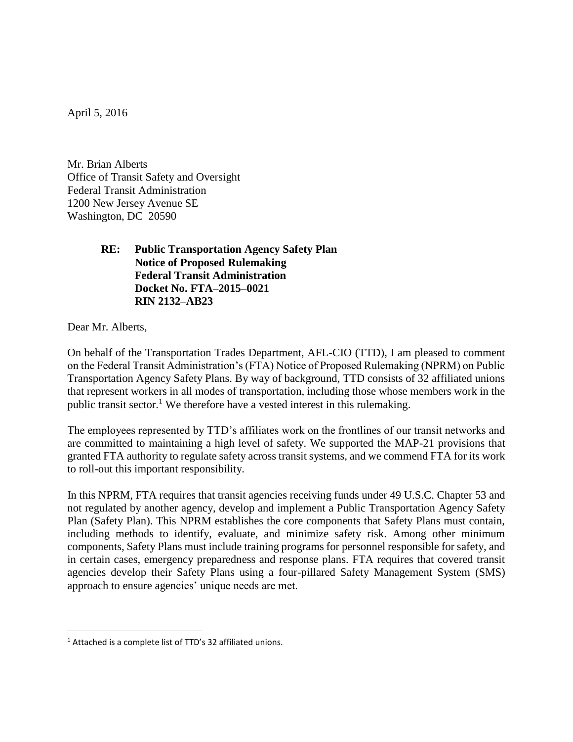April 5, 2016

Mr. Brian Alberts Office of Transit Safety and Oversight Federal Transit Administration 1200 New Jersey Avenue SE Washington, DC 20590

## **RE: Public Transportation Agency Safety Plan Notice of Proposed Rulemaking Federal Transit Administration Docket No. FTA–2015–0021 RIN 2132–AB23**

Dear Mr. Alberts,

 $\overline{\phantom{a}}$ 

On behalf of the Transportation Trades Department, AFL-CIO (TTD), I am pleased to comment on the Federal Transit Administration's (FTA) Notice of Proposed Rulemaking (NPRM) on Public Transportation Agency Safety Plans. By way of background, TTD consists of 32 affiliated unions that represent workers in all modes of transportation, including those whose members work in the public transit sector.<sup>1</sup> We therefore have a vested interest in this rulemaking.

The employees represented by TTD's affiliates work on the frontlines of our transit networks and are committed to maintaining a high level of safety. We supported the MAP-21 provisions that granted FTA authority to regulate safety across transit systems, and we commend FTA for its work to roll-out this important responsibility.

In this NPRM, FTA requires that transit agencies receiving funds under 49 U.S.C. Chapter 53 and not regulated by another agency, develop and implement a Public Transportation Agency Safety Plan (Safety Plan). This NPRM establishes the core components that Safety Plans must contain, including methods to identify, evaluate, and minimize safety risk. Among other minimum components, Safety Plans must include training programs for personnel responsible for safety, and in certain cases, emergency preparedness and response plans. FTA requires that covered transit agencies develop their Safety Plans using a four-pillared Safety Management System (SMS) approach to ensure agencies' unique needs are met.

<sup>&</sup>lt;sup>1</sup> Attached is a complete list of TTD's 32 affiliated unions.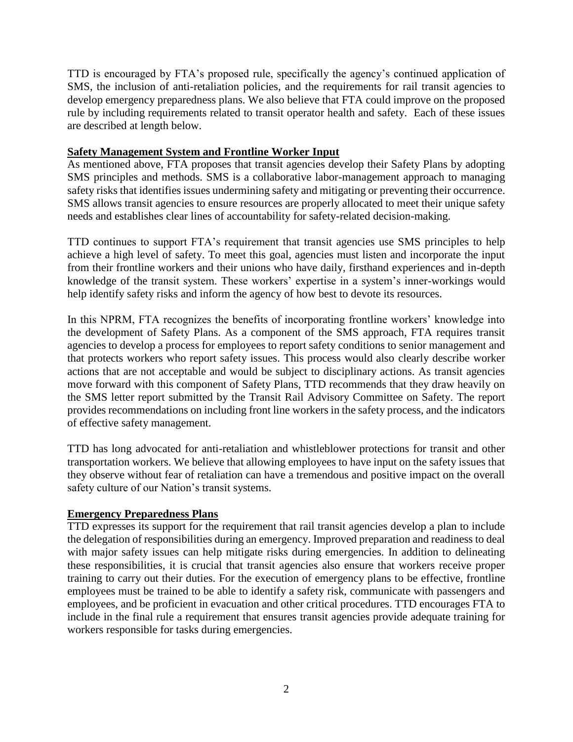TTD is encouraged by FTA's proposed rule, specifically the agency's continued application of SMS, the inclusion of anti-retaliation policies, and the requirements for rail transit agencies to develop emergency preparedness plans. We also believe that FTA could improve on the proposed rule by including requirements related to transit operator health and safety. Each of these issues are described at length below.

## **Safety Management System and Frontline Worker Input**

As mentioned above, FTA proposes that transit agencies develop their Safety Plans by adopting SMS principles and methods. SMS is a collaborative labor-management approach to managing safety risks that identifies issues undermining safety and mitigating or preventing their occurrence. SMS allows transit agencies to ensure resources are properly allocated to meet their unique safety needs and establishes clear lines of accountability for safety-related decision-making.

TTD continues to support FTA's requirement that transit agencies use SMS principles to help achieve a high level of safety. To meet this goal, agencies must listen and incorporate the input from their frontline workers and their unions who have daily, firsthand experiences and in-depth knowledge of the transit system. These workers' expertise in a system's inner-workings would help identify safety risks and inform the agency of how best to devote its resources.

In this NPRM, FTA recognizes the benefits of incorporating frontline workers' knowledge into the development of Safety Plans. As a component of the SMS approach, FTA requires transit agencies to develop a process for employees to report safety conditions to senior management and that protects workers who report safety issues. This process would also clearly describe worker actions that are not acceptable and would be subject to disciplinary actions. As transit agencies move forward with this component of Safety Plans, TTD recommends that they draw heavily on the SMS letter report submitted by the Transit Rail Advisory Committee on Safety. The report provides recommendations on including front line workers in the safety process, and the indicators of effective safety management.

TTD has long advocated for anti-retaliation and whistleblower protections for transit and other transportation workers. We believe that allowing employees to have input on the safety issues that they observe without fear of retaliation can have a tremendous and positive impact on the overall safety culture of our Nation's transit systems.

## **Emergency Preparedness Plans**

TTD expresses its support for the requirement that rail transit agencies develop a plan to include the delegation of responsibilities during an emergency. Improved preparation and readiness to deal with major safety issues can help mitigate risks during emergencies. In addition to delineating these responsibilities, it is crucial that transit agencies also ensure that workers receive proper training to carry out their duties. For the execution of emergency plans to be effective, frontline employees must be trained to be able to identify a safety risk, communicate with passengers and employees, and be proficient in evacuation and other critical procedures. TTD encourages FTA to include in the final rule a requirement that ensures transit agencies provide adequate training for workers responsible for tasks during emergencies.